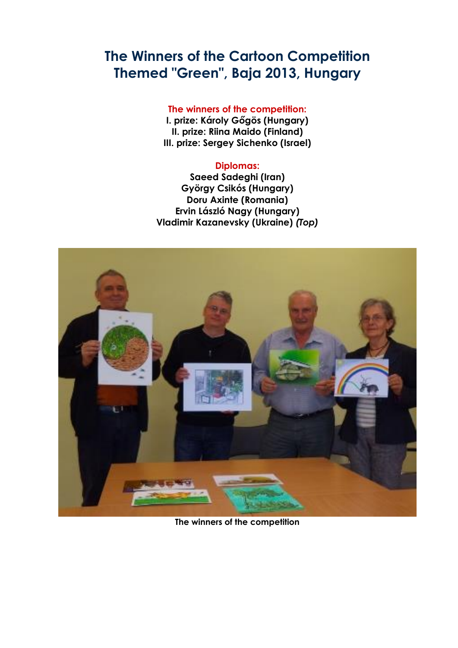# **[The Winners of the Cartoon Competition](http://caricaturque.blogspot.com/2013/12/the-winners-of-competition-themed-green.html)  Themed "Green", [Baja 2013, Hungary](http://caricaturque.blogspot.com/2013/12/the-winners-of-competition-themed-green.html)**

#### **The winners of the competition:**

**I. prize: Károly Gőgös (Hungary) II. prize: Riina Maido (Finland) III. prize: Sergey Sichenko (Israel)**

### **Diplomas:**

**Saeed Sadeghi (Iran) György Csikós (Hungary) Doru Axinte (Romania) Ervin László Nagy (Hungary) Vladimir Kazanevsky (Ukraine)** *(Top)*



**The winners of the competition**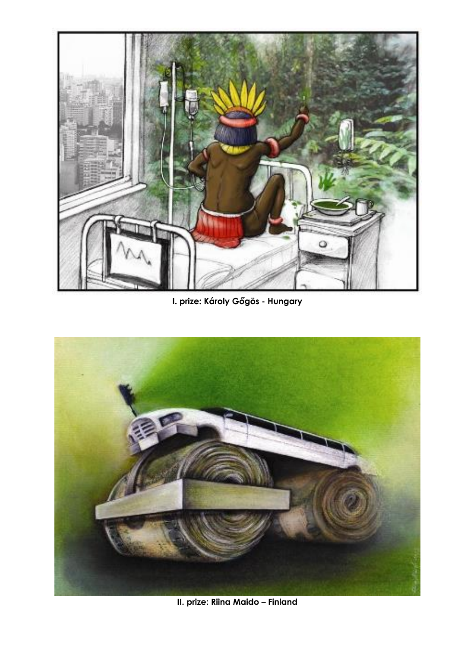

**I. prize: Károly Gőgös - Hungary**



**II. prize: Riina Maido – Finland**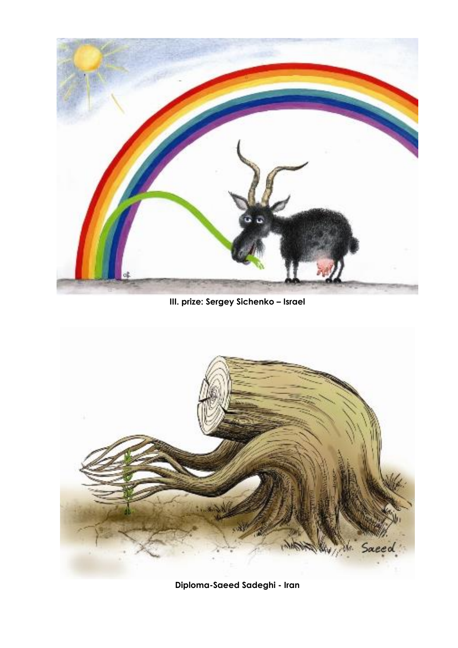

**III. prize: Sergey Sichenko – Israel**



**Diploma-Saeed Sadeghi - Iran**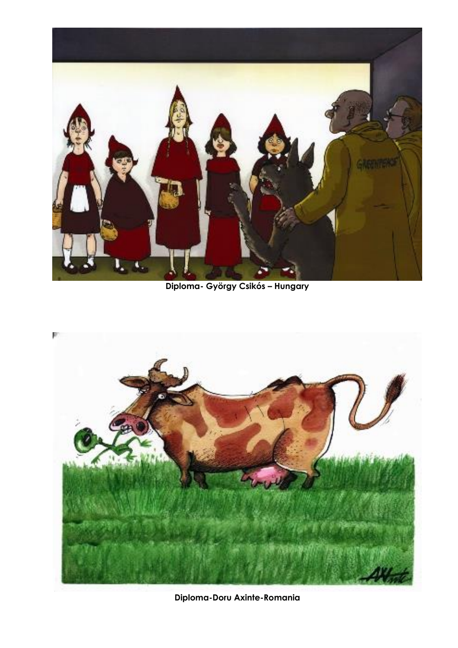

**Diploma- György Csikós – Hungary**



**Diploma-Doru Axinte-Romania**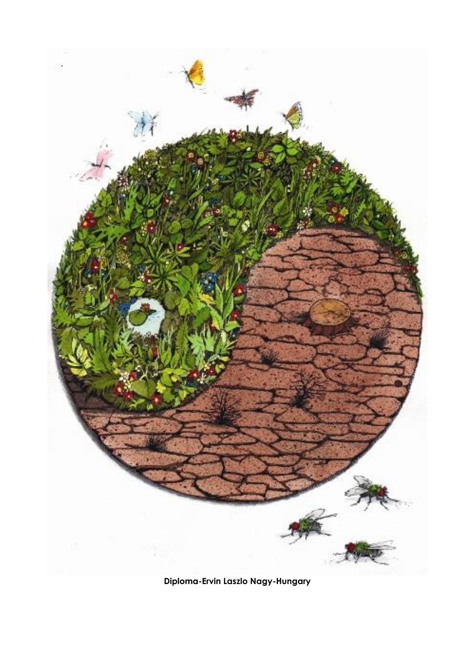

**Diploma-Ervin Laszlo Nagy-Hungary**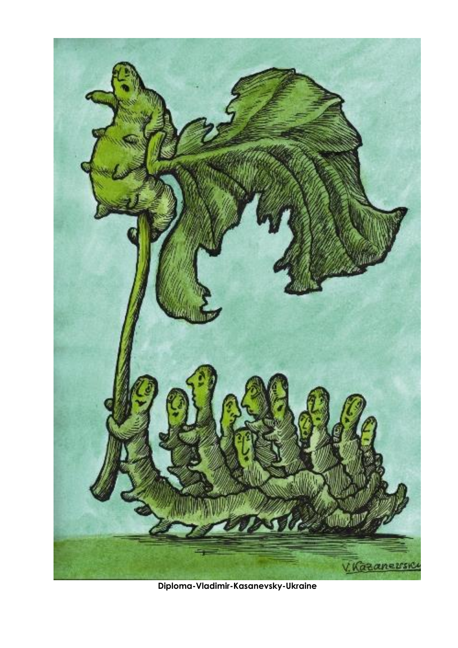

**Diploma-Vladimir-Kasanevsky-Ukraine**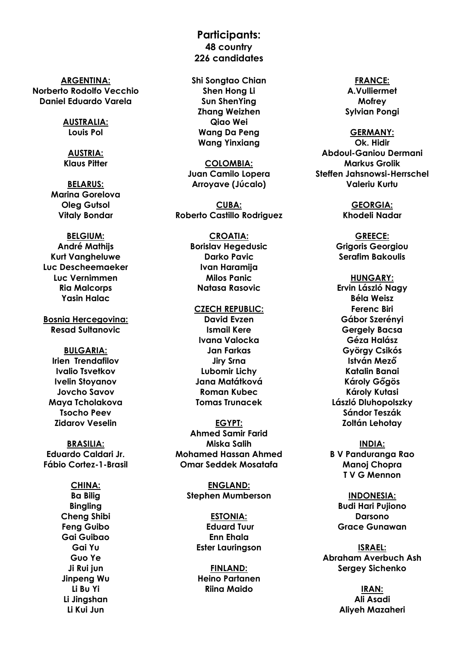**ARGENTINA: Norberto Rodolfo Vecchio Daniel Eduardo Varela**

> **AUSTRALIA: Louis Pol**

**AUSTRIA: Klaus Pitter**

**BELARUS: Marina Gorelova Oleg Gutsol Vitaly Bondar**

## **BELGIUM:**

**André Mathijs Kurt Vangheluwe Luc Descheemaeker Luc Vernimmen Ria Malcorps Yasin Halac**

**Bosnia Hercegovina: Resad Sultanovic**

#### **BULGARIA: Irien Trendafilov Ivalio Tsvetkov Ivelin Stoyanov Jovcho Savov Maya Tcholakova Tsocho Peev Zidarov Veselin**

**BRASILIA: Eduardo Caldari Jr. Fábio Cortez-1-Brasil**

> **CHINA: Ba Bilig Bingling Cheng Shibi Feng Guibo Gai Guibao Gai Yu Guo Ye Ji Rui jun Jinpeng Wu Li Bu Yi Li Jingshan Li Kui Jun**

## **Participants: 48 country 226 candidates**

**Shi Songtao Chian Shen Hong Li Sun ShenYing Zhang Weizhen Qiao Wei Wang Da Peng Wang Yinxiang**

**COLOMBIA: Juan Camilo Lopera Arroyave (Júcalo)**

**CUBA: Roberto Castillo Rodriguez**

> **CROATIA: Borislav Hegedusic Darko Pavic Ivan Haramija Milos Panic Natasa Rasovic**

### **CZECH REPUBLIC: David Evzen Ismail Kere Ivana Valocka Jan Farkas Jiry Srna Lubomir Lichy Jana Matátková Roman Kubec**

**EGYPT: Ahmed Samir Farid Miska Salih Mohamed Hassan Ahmed Omar Seddek Mosatafa**

**Tomas Trunacek**

**ENGLAND: Stephen Mumberson**

> **ESTONIA: Eduard Tuur Enn Ehala Ester Lauringson**

**FINLAND: Heino Partanen Riina Maido**

#### **FRANCE: A.Vulliermet Mofrey Sylvian Pongi**

#### **GERMANY:**

**Ok. Hidir Abdoul-Ganiou Dermani Markus Grolik Steffen Jahsnowsi-Herrschel Valeriu Kurtu**

> **GEORGIA: Khodeli Nadar**

**GREECE: Grigoris Georgiou Serafim Bakoulis**

**HUNGARY: Ervin László Nagy Béla Weisz Ferenc Biri Gábor Szerényi Gergely Bacsa Géza Halász György Csikós István Mező Katalin Banai Károly Gőgös Károly Kutasi László Dluhopolszky Sándor Teszák Zoltán Lehotay**

**INDIA: B V Panduranga Rao Manoj Chopra T V G Mennon**

**INDONESIA: Budi Hari Pujiono Darsono Grace Gunawan**

**ISRAEL: Abraham Averbuch Ash Sergey Sichenko**

> **IRAN: Ali Asadi Aliyeh Mazaheri**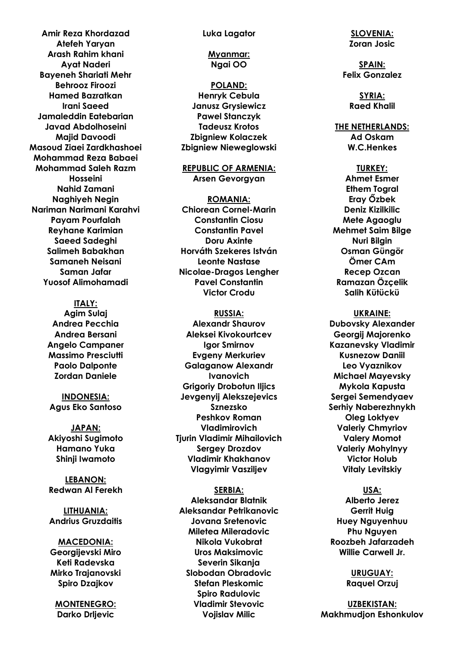**Amir Reza Khordazad Atefeh Yaryan Arash Rahim khani Ayat Naderi Bayeneh Shariati Mehr Behrooz Firoozi Hamed Bazratkan Irani Saeed Jamaleddin Eatebarian Javad Abdolhoseini Majid Davoodi Masoud Ziaei Zardkhashoei Mohammad Reza Babaei Mohammad Saleh Razm Hosseini Nahid Zamani Naghiyeh Negin Nariman Narimani Karahvi Payam Pourfalah Reyhane Karimian Saeed Sadeghi Salimeh Babakhan Samaneh Neisani Saman Jafar Yuosof Alimohamadi**

#### **ITALY:**

**Agim Sulaj Andrea Pecchia Andrea Bersani Angelo Campaner Massimo Presciutti Paolo Dalponte Zordan Daniele**

**INDONESIA: Agus Eko Santoso**

**JAPAN: Akiyoshi Sugimoto Hamano Yuka Shinji Iwamoto**

**LEBANON: Redwan Al Ferekh**

**LITHUANIA: Andrius Gruzdaitis**

**MACEDONIA: Georgijevski Miro Keti Radevska Mirko Trajanovski Spiro Dzajkov**

**MONTENEGRO: Darko Drljevic**

**Luka Lagator**

**Myanmar: Ngai OO**

**POLAND: Henryk Cebula Janusz Grysiewicz Pawel Stanczyk Tadeusz Krotos Zbigniew Kolaczek Zbigniew Nieweglowski**

**REPUBLIC OF ARMENIA: Arsen Gevorgyan**

**ROMANIA: Chiorean Cornel-Marin Constantin Ciosu Constantin Pavel Doru Axinte Horváth Szekeres István Leonte Nastase Nicolae-Dragos Lengher Pavel Constantin Victor Crodu**

**RUSSIA: Alexandr Shaurov Aleksei Kivokourtcev Igor Smirnov Evgeny Merkuriev Galaganow Alexandr Ivanovich Grigoriy Drobotun Iljics Jevgenyij Alekszejevics Sznezsko Peshkov Roman Vladimirovich Tjurin Vladimir Mihailovich Sergey Drozdov Vladimir Khakhanov Vlagyimir Vasziljev**

#### **SERBIA:**

**Aleksandar Blatnik Aleksandar Petrikanovic Jovana Sretenovic Miletea Mileradovic Nikola Vukobrat Uros Maksimovic Severin Sikanja Slobodan Obradovic Stefan Pleskomic Spiro Radulovic Vladimir Stevovic Vojislav Milic**

**SLOVENIA: Zoran Josic**

**SPAIN: Felix Gonzalez**

> **SYRIA: Raed Khalil**

**THE NETHERLANDS: Ad Oskam**

**W.C.Henkes**

**TURKEY: Ahmet Esmer Ethem Togral Eray Őzbek Deniz Kizilkilic Mete Agaoglu Mehmet Saim Bilge Nuri Bilgin Osman Güngör Ömer CAm Recep Ozcan Ramazan Özçelik Salih Kütückü**

**UKRAINE: Dubovsky Alexander Georgij Majorenko Kazanevsky Vladimir Kusnezow Daniil Leo Vyaznikov Michael Mayevsky Mykola Kapusta Sergei Semendyaev Serhiy Naberezhnykh Oleg Loktyev Valeriy Chmyriov Valery Momot Valeriy Mohylnyy Victor Holub Vitaly Levitskiy**

**USA: Alberto Jerez Gerrit Huig Huey Nguyenhuu Phu Nguyen Roozbeh Jafarzadeh Willie Carwell Jr.**

> **URUGUAY: Raquel Orzuj**

**UZBEKISTAN: Makhmudjon Eshonkulov**